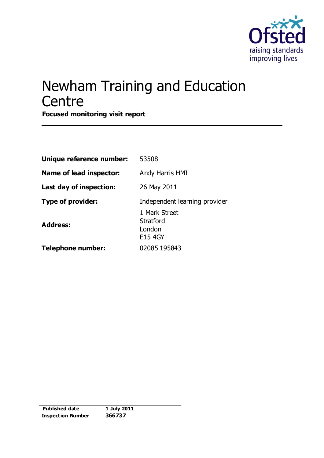

## Newham Training and Education **Centre**

**Focused monitoring visit report**

| Unique reference number: | 53508                                           |
|--------------------------|-------------------------------------------------|
| Name of lead inspector:  | Andy Harris HMI                                 |
| Last day of inspection:  | 26 May 2011                                     |
| <b>Type of provider:</b> | Independent learning provider                   |
| <b>Address:</b>          | 1 Mark Street<br>Stratford<br>London<br>E15 4GY |
| <b>Telephone number:</b> | 02085 195843                                    |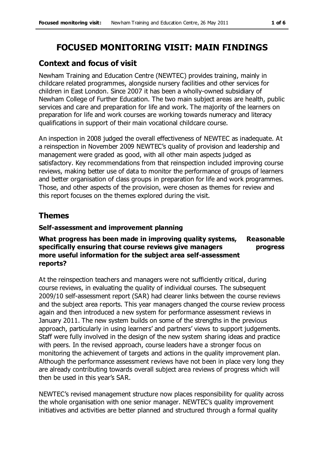## **FOCUSED MONITORING VISIT: MAIN FINDINGS**

## **Context and focus of visit**

Newham Training and Education Centre (NEWTEC) provides training, mainly in childcare related programmes, alongside nursery facilities and other services for children in East London. Since 2007 it has been a wholly-owned subsidiary of Newham College of Further Education. The two main subject areas are health, public services and care and preparation for life and work. The majority of the learners on preparation for life and work courses are working towards numeracy and literacy qualifications in support of their main vocational childcare course.

An inspection in 2008 judged the overall effectiveness of NEWTEC as inadequate. At a reinspection in November 2009 NEWTEC's quality of provision and leadership and management were graded as good, with all other main aspects judged as satisfactory. Key recommendations from that reinspection included improving course reviews, making better use of data to monitor the performance of groups of learners and better organisation of class groups in preparation for life and work programmes. Those, and other aspects of the provision, were chosen as themes for review and this report focuses on the themes explored during the visit.

## **Themes**

### **Self-assessment and improvement planning**

#### **What progress has been made in improving quality systems, specifically ensuring that course reviews give managers more useful information for the subject area self-assessment reports? Reasonable progress**

At the reinspection teachers and managers were not sufficiently critical, during course reviews, in evaluating the quality of individual courses. The subsequent 2009/10 self-assessment report (SAR) had clearer links between the course reviews and the subject area reports. This year managers changed the course review process again and then introduced a new system for performance assessment reviews in January 2011. The new system builds on some of the strengths in the previous approach, particularly in using learners' and partners' views to support judgements. Staff were fully involved in the design of the new system sharing ideas and practice with peers. In the revised approach, course leaders have a stronger focus on monitoring the achievement of targets and actions in the quality improvement plan. Although the performance assessment reviews have not been in place very long they are already contributing towards overall subject area reviews of progress which will then be used in this year's SAR.

NEWTEC's revised management structure now places responsibility for quality across the whole organisation with one senior manager. NEWTEC's quality improvement initiatives and activities are better planned and structured through a formal quality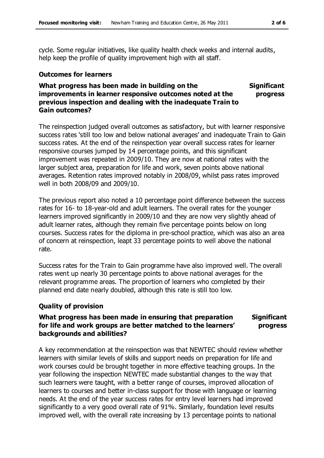cycle. Some regular initiatives, like quality health check weeks and internal audits, help keep the profile of quality improvement high with all staff.

#### **Outcomes for learners**

#### **What progress has been made in building on the improvements in learner responsive outcomes noted at the previous inspection and dealing with the inadequate Train to Gain outcomes? Significant progress**

The reinspection judged overall outcomes as satisfactory, but with learner responsive success rates 'still too low and below national averages' and inadequate Train to Gain success rates. At the end of the reinspection year overall success rates for learner responsive courses jumped by 14 percentage points, and this significant improvement was repeated in 2009/10. They are now at national rates with the larger subject area, preparation for life and work, seven points above national averages. Retention rates improved notably in 2008/09, whilst pass rates improved well in both 2008/09 and 2009/10.

The previous report also noted a 10 percentage point difference between the success rates for 16- to 18-year-old and adult learners. The overall rates for the younger learners improved significantly in 2009/10 and they are now very slightly ahead of adult learner rates, although they remain five percentage points below on long courses. Success rates for the diploma in pre-school practice, which was also an area of concern at reinspection, leapt 33 percentage points to well above the national rate.

Success rates for the Train to Gain programme have also improved well. The overall rates went up nearly 30 percentage points to above national averages for the relevant programme areas. The proportion of learners who completed by their planned end date nearly doubled, although this rate is still too low.

#### **Quality of provision**

#### **What progress has been made in ensuring that preparation for life and work groups are better matched to the learners' backgrounds and abilities? Significant progress**

A key recommendation at the reinspection was that NEWTEC should review whether learners with similar levels of skills and support needs on preparation for life and work courses could be brought together in more effective teaching groups. In the year following the inspection NEWTEC made substantial changes to the way that such learners were taught, with a better range of courses, improved allocation of learners to courses and better in-class support for those with language or learning needs. At the end of the year success rates for entry level learners had improved significantly to a very good overall rate of 91%. Similarly, foundation level results improved well, with the overall rate increasing by 13 percentage points to national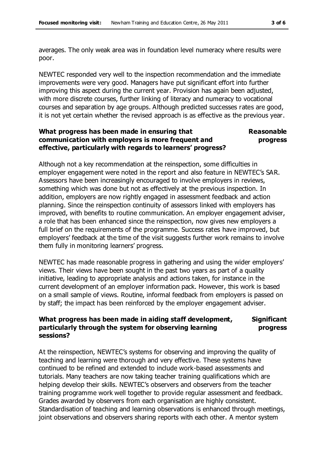averages. The only weak area was in foundation level numeracy where results were poor.

NEWTEC responded very well to the inspection recommendation and the immediate improvements were very good. Managers have put significant effort into further improving this aspect during the current year. Provision has again been adjusted, with more discrete courses, further linking of literacy and numeracy to vocational courses and separation by age groups. Although predicted successes rates are good, it is not yet certain whether the revised approach is as effective as the previous year.

#### **What progress has been made in ensuring that communication with employers is more frequent and effective, particularly with regards to learners' progress? Reasonable**

# **progress**

Although not a key recommendation at the reinspection, some difficulties in employer engagement were noted in the report and also feature in NEWTEC's SAR. Assessors have been increasingly encouraged to involve employers in reviews, something which was done but not as effectively at the previous inspection. In addition, employers are now rightly engaged in assessment feedback and action planning. Since the reinspection continuity of assessors linked with employers has improved, with benefits to routine communication. An employer engagement adviser, a role that has been enhanced since the reinspection, now gives new employers a full brief on the requirements of the programme. Success rates have improved, but employers' feedback at the time of the visit suggests further work remains to involve them fully in monitoring learners' progress.

NEWTEC has made reasonable progress in gathering and using the wider employers' views. Their views have been sought in the past two years as part of a quality initiative, leading to appropriate analysis and actions taken, for instance in the current development of an employer information pack. However, this work is based on a small sample of views. Routine, informal feedback from employers is passed on by staff; the impact has been reinforced by the employer engagement adviser.

#### **What progress has been made in aiding staff development, particularly through the system for observing learning sessions? Significant progress**

At the reinspection, NEWTEC's systems for observing and improving the quality of teaching and learning were thorough and very effective. These systems have continued to be refined and extended to include work-based assessments and tutorials. Many teachers are now taking teacher training qualifications which are helping develop their skills. NEWTEC's observers and observers from the teacher training programme work well together to provide regular assessment and feedback. Grades awarded by observers from each organisation are highly consistent. Standardisation of teaching and learning observations is enhanced through meetings, joint observations and observers sharing reports with each other. A mentor system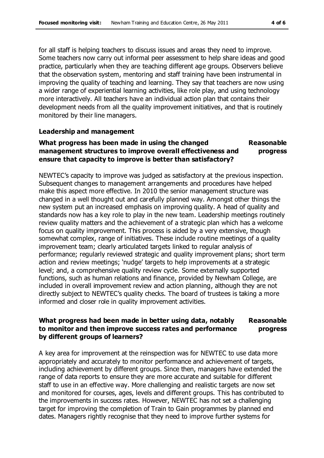for all staff is helping teachers to discuss issues and areas they need to improve. Some teachers now carry out informal peer assessment to help share ideas and good practice, particularly when they are teaching different age groups. Observers believe that the observation system, mentoring and staff training have been instrumental in improving the quality of teaching and learning. They say that teachers are now using a wider range of experiential learning activities, like role play, and using technology more interactively. All teachers have an individual action plan that contains their development needs from all the quality improvement initiatives, and that is routinely monitored by their line managers.

#### **Leadership and management**

#### **What progress has been made in using the changed management structures to improve overall effectiveness and ensure that capacity to improve is better than satisfactory? Reasonable progress**

NEWTEC's capacity to improve was judged as satisfactory at the previous inspection. Subsequent changes to management arrangements and procedures have helped make this aspect more effective. In 2010 the senior management structure was changed in a well thought out and carefully planned way. Amongst other things the new system put an increased emphasis on improving quality. A head of quality and standards now has a key role to play in the new team. Leadership meetings routinely review quality matters and the achievement of a strategic plan which has a welcome focus on quality improvement. This process is aided by a very extensive, though somewhat complex, range of initiatives. These include routine meetings of a quality improvement team; clearly articulated targets linked to regular analysis of performance; regularly reviewed strategic and quality improvement plans; short term action and review meetings; 'nudge' targets to help improvements at a strategic level; and, a comprehensive quality review cycle. Some externally supported functions, such as human relations and finance, provided by Newham College, are included in overall improvement review and action planning, although they are not directly subject to NEWTEC's quality checks. The board of trustees is taking a more informed and closer role in quality improvement activities.

#### **What progress had been made in better using data, notably to monitor and then improve success rates and performance by different groups of learners? Reasonable progress**

A key area for improvement at the reinspection was for NEWTEC to use data more appropriately and accurately to monitor performance and achievement of targets, including achievement by different groups. Since then, managers have extended the range of data reports to ensure they are more accurate and suitable for different staff to use in an effective way. More challenging and realistic targets are now set and monitored for courses, ages, levels and different groups. This has contributed to the improvements in success rates. However, NEWTEC has not set a challenging target for improving the completion of Train to Gain programmes by planned end dates. Managers rightly recognise that they need to improve further systems for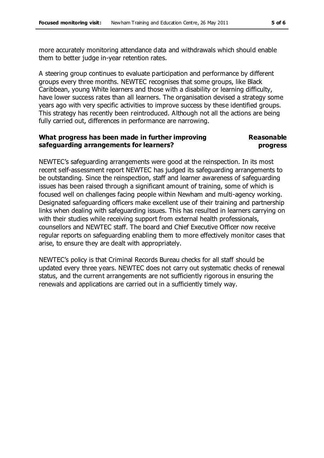more accurately monitoring attendance data and withdrawals which should enable them to better judge in-year retention rates.

A steering group continues to evaluate participation and performance by different groups every three months. NEWTEC recognises that some groups, like Black Caribbean, young White learners and those with a disability or learning difficulty, have lower success rates than all learners. The organisation devised a strategy some years ago with very specific activities to improve success by these identified groups. This strategy has recently been reintroduced. Although not all the actions are being fully carried out, differences in performance are narrowing.

#### **What progress has been made in further improving safeguarding arrangements for learners? Reasonable progress**

NEWTEC's safeguarding arrangements were good at the reinspection. In its most recent self-assessment report NEWTEC has judged its safeguarding arrangements to be outstanding. Since the reinspection, staff and learner awareness of safeguarding issues has been raised through a significant amount of training, some of which is focused well on challenges facing people within Newham and multi-agency working. Designated safeguarding officers make excellent use of their training and partnership links when dealing with safeguarding issues. This has resulted in learners carrying on with their studies while receiving support from external health professionals, counsellors and NEWTEC staff. The board and Chief Executive Officer now receive regular reports on safeguarding enabling them to more effectively monitor cases that arise, to ensure they are dealt with appropriately.

NEWTEC's policy is that Criminal Records Bureau checks for all staff should be updated every three years. NEWTEC does not carry out systematic checks of renewal status, and the current arrangements are not sufficiently rigorous in ensuring the renewals and applications are carried out in a sufficiently timely way.